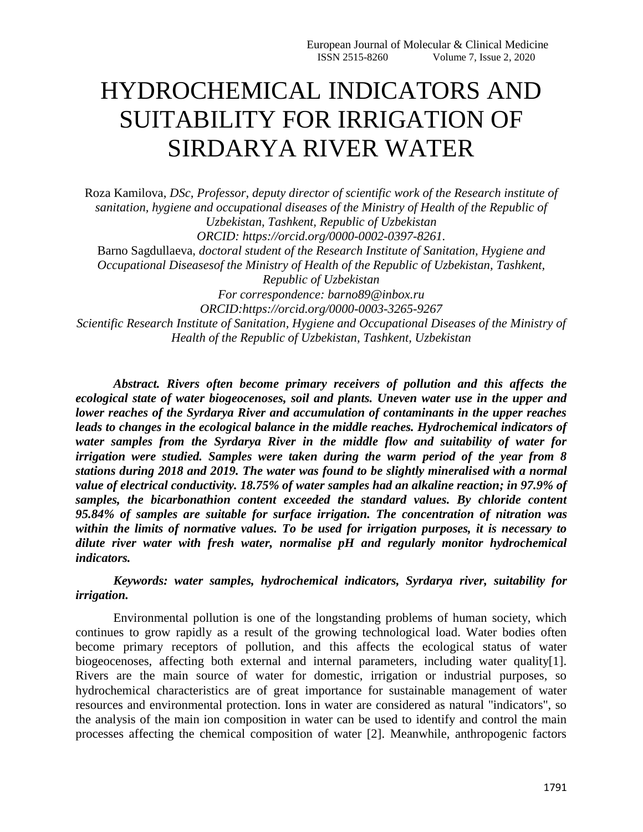## HYDROCHEMICAL INDICATORS AND SUITABILITY FOR IRRIGATION OF SIRDARYA RIVER WATER

Roza Kamilova, *DSc, Professor, deputy director of scientific work of the Research institute of sanitation, hygiene and occupational diseases of the Ministry of Health of the Republic of Uzbekistan, Tashkent, Republic of Uzbekistan ORCID: https://orcid.org/0000-0002-0397-8261.* Barno Sagdullaeva, *doctoral student of the Research Institute of Sanitation, Hygiene and Occupational Diseasesof the Ministry of Health of the Republic of Uzbekistan, Tashkent, Republic of Uzbekistan For correspondence: barno89@inbox.ru ORCID:https://orcid.org/0000-0003-3265-9267 Scientific Research Institute of Sanitation, Hygiene and Occupational Diseases of the Ministry of Health of the Republic of Uzbekistan, Tashkent, Uzbekistan*

*Abstract. Rivers often become primary receivers of pollution and this affects the ecological state of water biogeocenoses, soil and plants. Uneven water use in the upper and lower reaches of the Syrdarya River and accumulation of contaminants in the upper reaches leads to changes in the ecological balance in the middle reaches. Hydrochemical indicators of water samples from the Syrdarya River in the middle flow and suitability of water for irrigation were studied. Samples were taken during the warm period of the year from 8 stations during 2018 and 2019. The water was found to be slightly mineralised with a normal value of electrical conductivity. 18.75% of water samples had an alkaline reaction; in 97.9% of samples, the bicarbonathion content exceeded the standard values. By chloride content 95.84% of samples are suitable for surface irrigation. The concentration of nitration was within the limits of normative values. To be used for irrigation purposes, it is necessary to dilute river water with fresh water, normalise pH and regularly monitor hydrochemical indicators.*

*Keywords: water samples, hydrochemical indicators, Syrdarya river, suitability for irrigation.*

Environmental pollution is one of the longstanding problems of human society, which continues to grow rapidly as a result of the growing technological load. Water bodies often become primary receptors of pollution, and this affects the ecological status of water biogeocenoses, affecting both external and internal parameters, including water quality[1]. Rivers are the main source of water for domestic, irrigation or industrial purposes, so hydrochemical characteristics are of great importance for sustainable management of water resources and environmental protection. Ions in water are considered as natural "indicators", so the analysis of the main ion composition in water can be used to identify and control the main processes affecting the chemical composition of water [2]. Meanwhile, anthropogenic factors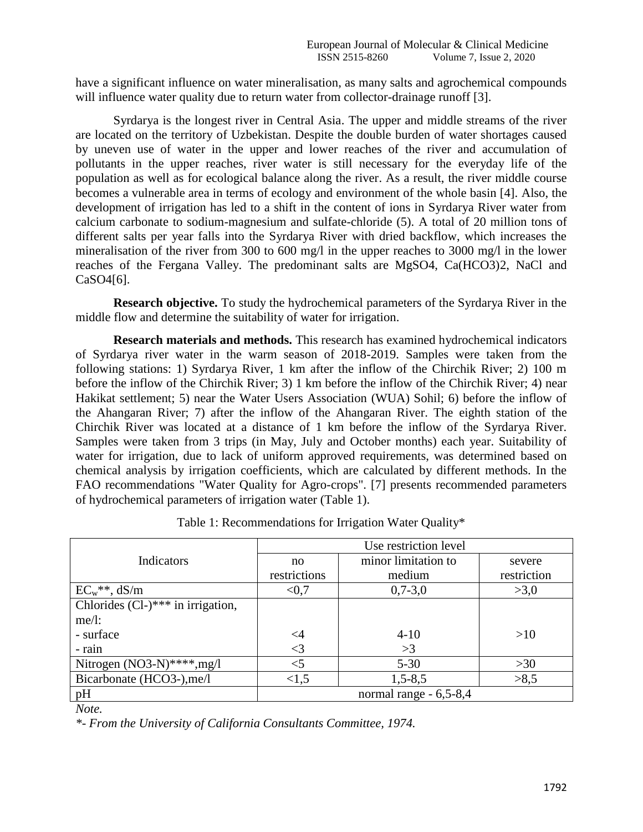have a significant influence on water mineralisation, as many salts and agrochemical compounds will influence water quality due to return water from collector-drainage runoff [3].

Syrdarya is the longest river in Central Asia. The upper and middle streams of the river are located on the territory of Uzbekistan. Despite the double burden of water shortages caused by uneven use of water in the upper and lower reaches of the river and accumulation of pollutants in the upper reaches, river water is still necessary for the everyday life of the population as well as for ecological balance along the river. As a result, the river middle course becomes a vulnerable area in terms of ecology and environment of the whole basin [4]. Also, the development of irrigation has led to a shift in the content of ions in Syrdarya River water from calcium carbonate to sodium-magnesium and sulfate-chloride (5). A total of 20 million tons of different salts per year falls into the Syrdarya River with dried backflow, which increases the mineralisation of the river from 300 to 600 mg/l in the upper reaches to 3000 mg/l in the lower reaches of the Fergana Valley. The predominant salts are MgSO4, Ca(HCO3)2, NaCl and CaSO4[6].

**Research objective.** To study the hydrochemical parameters of the Syrdarya River in the middle flow and determine the suitability of water for irrigation.

**Research materials and methods.** This research has examined hydrochemical indicators of Syrdarya river water in the warm season of 2018-2019. Samples were taken from the following stations: 1) Syrdarya River, 1 km after the inflow of the Chirchik River; 2) 100 m before the inflow of the Chirchik River; 3) 1 km before the inflow of the Chirchik River; 4) near Hakikat settlement; 5) near the Water Users Association (WUA) Sohil; 6) before the inflow of the Ahangaran River; 7) after the inflow of the Ahangaran River. The eighth station of the Chirchik River was located at a distance of 1 km before the inflow of the Syrdarya River. Samples were taken from 3 trips (in May, July and October months) each year. Suitability of water for irrigation, due to lack of uniform approved requirements, was determined based on chemical analysis by irrigation coefficients, which are calculated by different methods. In the FAO recommendations "Water Quality for Agro-crops". [7] presents recommended parameters of hydrochemical parameters of irrigation water (Table 1).

|                                     | Use restriction level  |                     |             |  |
|-------------------------------------|------------------------|---------------------|-------------|--|
| Indicators                          | no                     | minor limitation to | severe      |  |
|                                     | restrictions           | medium              | restriction |  |
| $EC_w$ **, dS/m                     | < 0.7                  | $0,7-3,0$           | >3,0        |  |
| Chlorides $(Cl-)***$ in irrigation, |                        |                     |             |  |
| $me/l$ :                            |                        |                     |             |  |
| - surface                           | $\leq$ 4               | $4 - 10$            | >10         |  |
| - rain                              | $\leq$ 3               | >3                  |             |  |
| Nitrogen $(NO3-N)****$ , mg/l       | $<$ 5                  | $5 - 30$            | >30         |  |
| Bicarbonate (HCO3-), me/l           | < 1.5                  | $1,5 - 8,5$         | >8,5        |  |
| pH                                  | normal range - 6,5-8,4 |                     |             |  |

Table 1: Recommendations for Irrigation Water Quality\*

*Note.* 

*\*- From the University of California Consultants Committee, 1974.*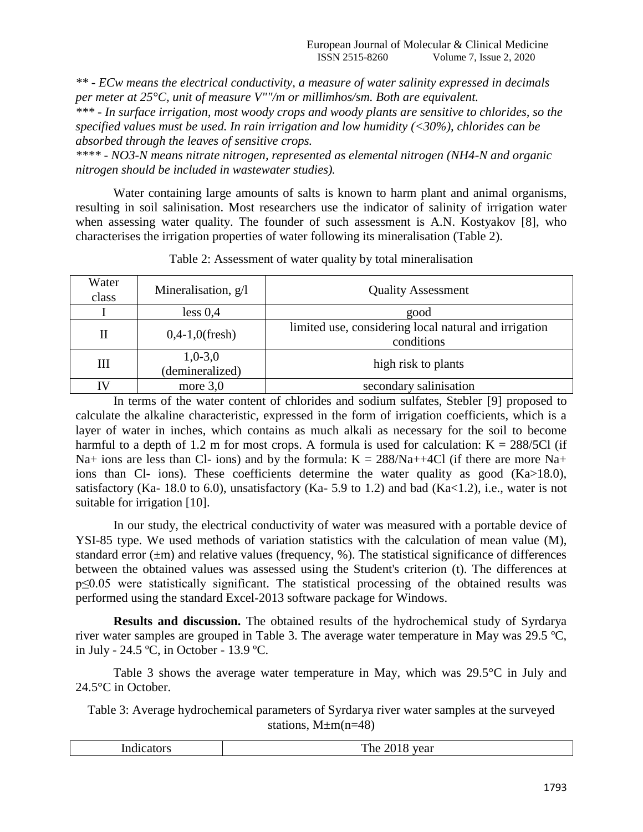*\*\* - ECw means the electrical conductivity, a measure of water salinity expressed in decimals per meter at 25°C, unit of measure V""/m or millimhos/sm. Both are equivalent.* 

*\*\*\* - In surface irrigation, most woody crops and woody plants are sensitive to chlorides, so the specified values must be used. In rain irrigation and low humidity (<30%), chlorides can be absorbed through the leaves of sensitive crops.* 

*\*\*\*\* - NO3-N means nitrate nitrogen, represented as elemental nitrogen (NH4-N and organic nitrogen should be included in wastewater studies).*

Water containing large amounts of salts is known to harm plant and animal organisms, resulting in soil salinisation. Most researchers use the indicator of salinity of irrigation water when assessing water quality. The founder of such assessment is A.N. Kostyakov [8], who characterises the irrigation properties of water following its mineralisation (Table 2).

| Water<br>class | Mineralisation, g/l          | <b>Quality Assessment</b>                                           |
|----------------|------------------------------|---------------------------------------------------------------------|
|                | less 0,4                     | good                                                                |
| $_{\rm II}$    | $0,4-1,0$ (fresh)            | limited use, considering local natural and irrigation<br>conditions |
| Ш              | $1,0-3,0$<br>(demineralized) | high risk to plants                                                 |
| IV             | more $3,0$                   | secondary salinisation                                              |

Table 2: Assessment of water quality by total mineralisation

In terms of the water content of chlorides and sodium sulfates, Stebler [9] proposed to calculate the alkaline characteristic, expressed in the form of irrigation coefficients, which is a layer of water in inches, which contains as much alkali as necessary for the soil to become harmful to a depth of 1.2 m for most crops. A formula is used for calculation:  $K = 288/5C1$  (if Na+ ions are less than Cl- ions) and by the formula:  $K = 288/Na+4Cl$  (if there are more Na+ ions than Cl- ions). These coefficients determine the water quality as good (Ka>18.0), satisfactory (Ka- 18.0 to 6.0), unsatisfactory (Ka- 5.9 to 1.2) and bad (Ka $\lt 1.2$ ), i.e., water is not suitable for irrigation [10].

In our study, the electrical conductivity of water was measured with a portable device of YSI-85 type. We used methods of variation statistics with the calculation of mean value (M), standard error  $(\pm m)$  and relative values (frequency, %). The statistical significance of differences between the obtained values was assessed using the Student's criterion (t). The differences at p≤0.05 were statistically significant. The statistical processing of the obtained results was performed using the standard Excel-2013 software package for Windows.

**Results and discussion.** The obtained results of the hydrochemical study of Syrdarya river water samples are grouped in Table 3. The average water temperature in May was 29.5 ºC, in July - 24.5 ºC, in October - 13.9 ºC.

Table 3 shows the average water temperature in May, which was 29.5°C in July and 24.5°C in October.

Table 3: Average hydrochemical parameters of Syrdarya river water samples at the surveyed stations,  $M \pm m(n=48)$ 

| $\overline{\phantom{a}}$<br>.<br>n<br>.<br>. | The<br>$\sim$<br>$\cdot$<br>$\mathbf{u}$<br>$\overline{\phantom{a}}$<br>-<br>_<br>_______ |
|----------------------------------------------|-------------------------------------------------------------------------------------------|
|----------------------------------------------|-------------------------------------------------------------------------------------------|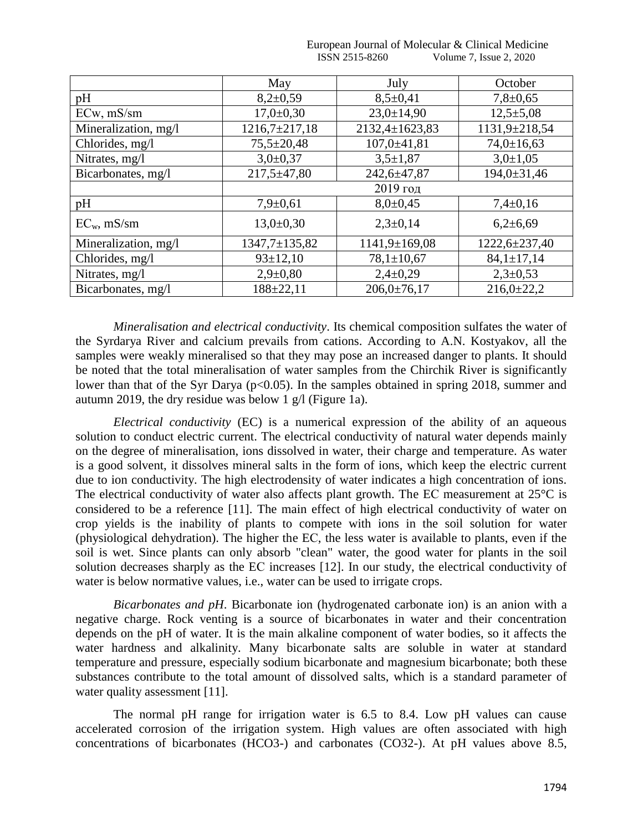|                      | May                 | July                | October           |
|----------------------|---------------------|---------------------|-------------------|
| pH                   | $8,2{\pm}0,59$      | $8,5+0,41$          | $7,8+0,65$        |
| ECw, mS/sm           | $17,0+0,30$         | $23,0 \pm 14,90$    | $12,5+5,08$       |
| Mineralization, mg/l | $1216,7\pm217,18$   | 2132,4±1623,83      | 1131,9±218,54     |
| Chlorides, mg/l      | $75,5 \pm 20,48$    | $107,0 \pm 41,81$   | $74,0 \pm 16,63$  |
| Nitrates, mg/l       | $3,0+0,37$          | $3,5+1,87$          | $3,0+1,05$        |
| Bicarbonates, mg/l   | $217,5 \pm 47,80$   | 242,6±47,87         | $194,0 \pm 31,46$ |
|                      | 2019 год            |                     |                   |
| pH                   | $7,9+0,61$          | $8,0\pm0,45$        | $7,4\pm0,16$      |
| $EC_{w}$ , mS/sm     | $13,0+0,30$         | $2,3+0,14$          | $6,2{\pm}6,69$    |
| Mineralization, mg/l | $1347,7 \pm 135,82$ | $1141,9 \pm 169,08$ | 1222,6±237,40     |
| Chlorides, mg/l      | $93 \pm 12,10$      | $78,1 \pm 10,67$    | $84,1 \pm 17,14$  |
| Nitrates, mg/l       | $2,9 \pm 0,80$      | $2,4+0,29$          | $2,3+0,53$        |
| Bicarbonates, mg/l   | $188 \pm 22.11$     | $206,0 \pm 76,17$   | $216,0+22,2$      |

## European Journal of Molecular & Clinical Medicine ISSN 2515-8260 Volume 7, Issue 2, 2020

*Mineralisation and electrical conductivity*. Its chemical composition sulfates the water of the Syrdarya River and calcium prevails from cations. According to A.N. Kostyakov, all the samples were weakly mineralised so that they may pose an increased danger to plants. It should be noted that the total mineralisation of water samples from the Chirchik River is significantly lower than that of the Syr Darya (p<0.05). In the samples obtained in spring 2018, summer and autumn 2019, the dry residue was below 1 g/l (Figure 1a).

*Electrical conductivity* (EC) is a numerical expression of the ability of an aqueous solution to conduct electric current. The electrical conductivity of natural water depends mainly on the degree of mineralisation, ions dissolved in water, their charge and temperature. As water is a good solvent, it dissolves mineral salts in the form of ions, which keep the electric current due to ion conductivity. The high electrodensity of water indicates a high concentration of ions. The electrical conductivity of water also affects plant growth. The EC measurement at 25<sup>o</sup>C is considered to be a reference [11]. The main effect of high electrical conductivity of water on crop yields is the inability of plants to compete with ions in the soil solution for water (physiological dehydration). The higher the EС, the less water is available to plants, even if the soil is wet. Since plants can only absorb "clean" water, the good water for plants in the soil solution decreases sharply as the EС increases [12]. In our study, the electrical conductivity of water is below normative values, *i.e.*, water can be used to irrigate crops.

*Bicarbonates and pH*. Bicarbonate ion (hydrogenated carbonate ion) is an anion with a negative charge. Rock venting is a source of bicarbonates in water and their concentration depends on the pH of water. It is the main alkaline component of water bodies, so it affects the water hardness and alkalinity. Many bicarbonate salts are soluble in water at standard temperature and pressure, especially sodium bicarbonate and magnesium bicarbonate; both these substances contribute to the total amount of dissolved salts, which is a standard parameter of water quality assessment [11].

The normal pH range for irrigation water is 6.5 to 8.4. Low pH values can cause accelerated corrosion of the irrigation system. High values are often associated with high concentrations of bicarbonates (HCO3-) and carbonates (CO32-). At pH values above 8.5,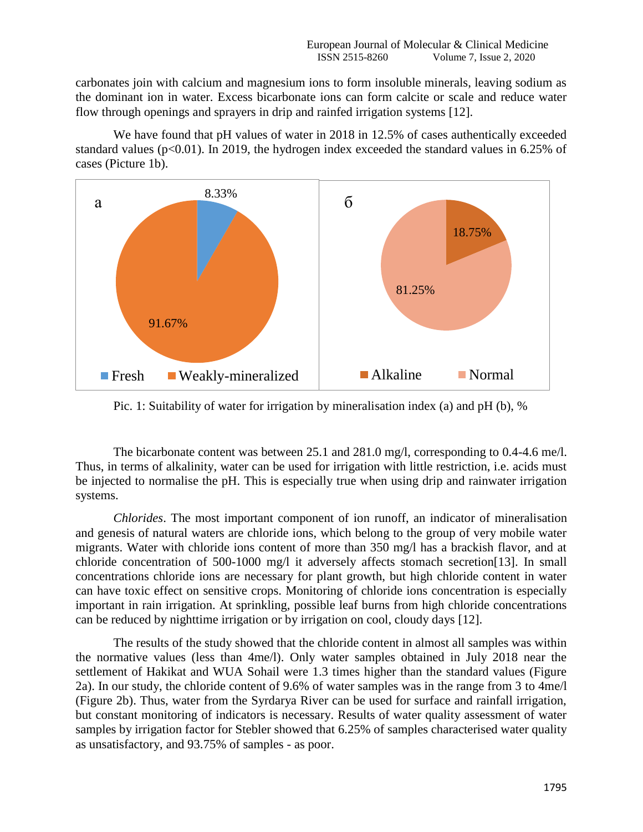carbonates join with calcium and magnesium ions to form insoluble minerals, leaving sodium as the dominant ion in water. Excess bicarbonate ions can form calcite or scale and reduce water flow through openings and sprayers in drip and rainfed irrigation systems [12].

We have found that pH values of water in 2018 in 12.5% of cases authentically exceeded standard values (p<0.01). In 2019, the hydrogen index exceeded the standard values in 6.25% of cases (Picture 1b).



Pic. 1: Suitability of water for irrigation by mineralisation index (a) and pH (b), %

The bicarbonate content was between 25.1 and 281.0 mg/l, corresponding to 0.4-4.6 me/l. Thus, in terms of alkalinity, water can be used for irrigation with little restriction, i.e. acids must be injected to normalise the pH. This is especially true when using drip and rainwater irrigation systems.

*Chlorides*. The most important component of ion runoff, an indicator of mineralisation and genesis of natural waters are chloride ions, which belong to the group of very mobile water migrants. Water with chloride ions content of more than 350 mg/l has a brackish flavor, and at chloride concentration of 500-1000 mg/l it adversely affects stomach secretion[13]. In small concentrations chloride ions are necessary for plant growth, but high chloride content in water can have toxic effect on sensitive crops. Monitoring of chloride ions concentration is especially important in rain irrigation. At sprinkling, possible leaf burns from high chloride concentrations can be reduced by nighttime irrigation or by irrigation on cool, cloudy days [12].

The results of the study showed that the chloride content in almost all samples was within the normative values (less than 4me/l). Only water samples obtained in July 2018 near the settlement of Hakikat and WUA Sohail were 1.3 times higher than the standard values (Figure 2a). In our study, the chloride content of 9.6% of water samples was in the range from 3 to 4me/l (Figure 2b). Thus, water from the Syrdarya River can be used for surface and rainfall irrigation, but constant monitoring of indicators is necessary. Results of water quality assessment of water samples by irrigation factor for Stebler showed that 6.25% of samples characterised water quality as unsatisfactory, and 93.75% of samples - as poor.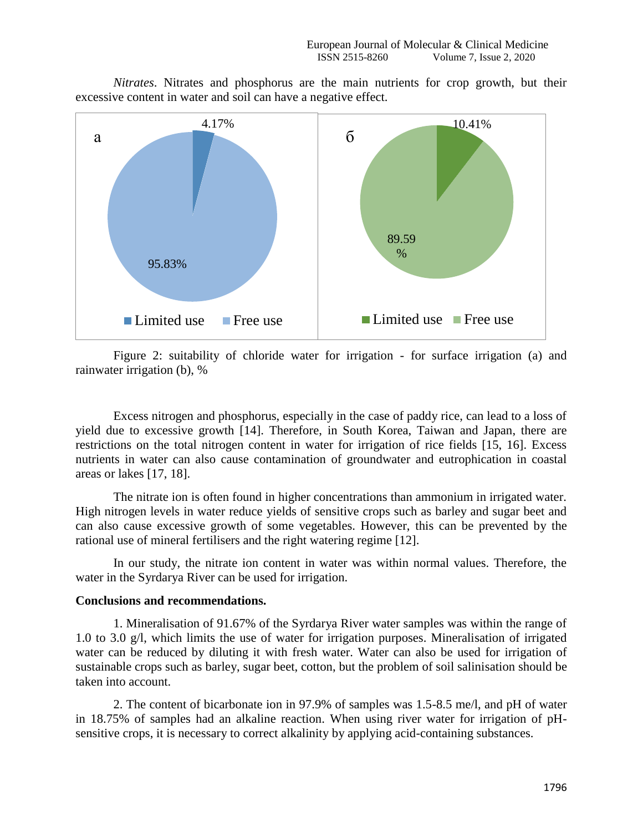*Nitrates*. Nitrates and phosphorus are the main nutrients for crop growth, but their excessive content in water and soil can have a negative effect.



Figure 2: suitability of chloride water for irrigation - for surface irrigation (a) and rainwater irrigation (b), %

Excess nitrogen and phosphorus, especially in the case of paddy rice, can lead to a loss of yield due to excessive growth [14]. Therefore, in South Korea, Taiwan and Japan, there are restrictions on the total nitrogen content in water for irrigation of rice fields [15, 16]. Excess nutrients in water can also cause contamination of groundwater and eutrophication in coastal areas or lakes [17, 18].

The nitrate ion is often found in higher concentrations than ammonium in irrigated water. High nitrogen levels in water reduce yields of sensitive crops such as barley and sugar beet and can also cause excessive growth of some vegetables. However, this can be prevented by the rational use of mineral fertilisers and the right watering regime [12].

In our study, the nitrate ion content in water was within normal values. Therefore, the water in the Syrdarya River can be used for irrigation.

## **Conclusions and recommendations.**

1. Mineralisation of 91.67% of the Syrdarya River water samples was within the range of 1.0 to 3.0 g/l, which limits the use of water for irrigation purposes. Mineralisation of irrigated water can be reduced by diluting it with fresh water. Water can also be used for irrigation of sustainable crops such as barley, sugar beet, cotton, but the problem of soil salinisation should be taken into account.

2. The content of bicarbonate ion in 97.9% of samples was 1.5-8.5 me/l, and pH of water in 18.75% of samples had an alkaline reaction. When using river water for irrigation of pHsensitive crops, it is necessary to correct alkalinity by applying acid-containing substances.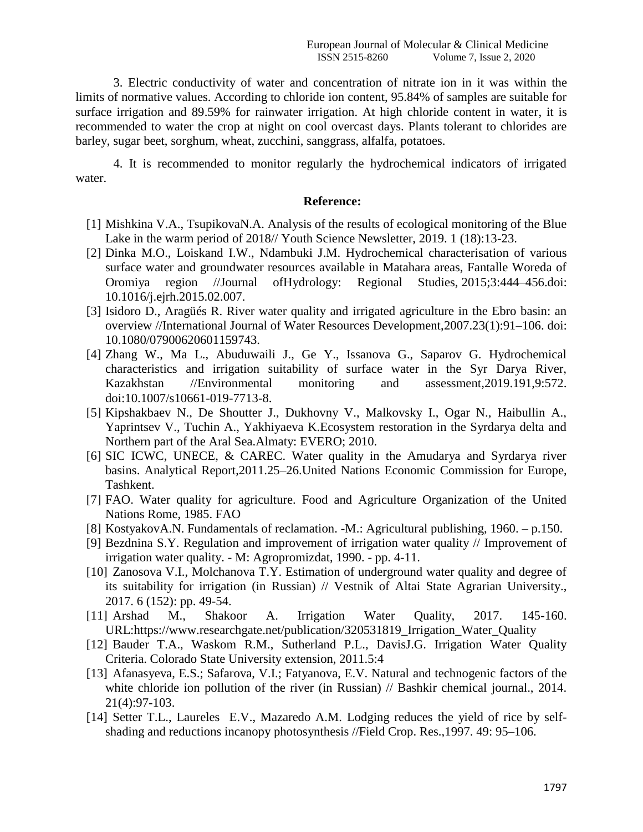3. Electric conductivity of water and concentration of nitrate ion in it was within the limits of normative values. According to chloride ion content, 95.84% of samples are suitable for surface irrigation and 89.59% for rainwater irrigation. At high chloride content in water, it is recommended to water the crop at night on cool overcast days. Plants tolerant to chlorides are barley, sugar beet, sorghum, wheat, zucchini, sanggrass, alfalfa, potatoes.

4. It is recommended to monitor regularly the hydrochemical indicators of irrigated water.

## **Reference:**

- [1] Mishkina V.A., TsupikovaN.A. Analysis of the results of ecological monitoring of the Blue Lake in the warm period of 2018// Youth Science Newsletter, 2019. 1 (18):13-23.
- [2] Dinka M.O., Loiskand I.W., Ndambuki J.M. Hydrochemical characterisation of various surface water and groundwater resources available in Matahara areas, Fantalle Woreda of Oromiya region //Journal ofHydrology: Regional Studies, 2015;3:444–456.doi: 10.1016/j.ejrh.2015.02.007.
- [3] Isidoro D., Aragüés R. River water quality and irrigated agriculture in the Ebro basin: an overview //International Journal of Water Resources Development,2007.23(1):91–106. doi: 10.1080/07900620601159743.
- [4] Zhang W., Ma L., Abuduwaili J., Ge Y., Issanova G., Saparov G. Hydrochemical characteristics and irrigation suitability of surface water in the Syr Darya River, Kazakhstan //Environmental monitoring and assessment,2019.191,9:572. doi:10.1007/s10661-019-7713-8.
- [5] Kipshakbaev N., De Shoutter J., Dukhovny V., Malkovsky I., Ogar N., Haibullin A., Yaprintsev V., Tuchin A., Yakhiyaeva K.Ecosystem restoration in the Syrdarya delta and Northern part of the Aral Sea.Almaty: EVERO; 2010.
- [6] SIC ICWC, UNECE, & CAREC. Water quality in the Amudarya and Syrdarya river basins. Analytical Report,2011.25–26.United Nations Economic Commission for Europe, Tashkent.
- [7] FAO. Water quality for agriculture. Food and Agriculture Organization of the United Nations Rome, 1985. FAO
- [8] KostyakovA.N. Fundamentals of reclamation. -M.: Agricultural publishing, 1960. p.150.
- [9] Bezdnina S.Y. Regulation and improvement of irrigation water quality // Improvement of irrigation water quality. - M: Agropromizdat, 1990. - pp. 4-11.
- [10] Zanosova V.I., Molchanova T.Y. Estimation of underground water quality and degree of its suitability for irrigation (in Russian) // Vestnik of Altai State Agrarian University., 2017. 6 (152): pp. 49-54.
- [11] Arshad M., Shakoor A. Irrigation Water Quality, 2017. 145-160. URL[:https://www.researchgate.net/publication/320531819\\_Irrigation\\_Water\\_Quality](https://www.researchgate.net/publication/320531819_Irrigation_Water_Quality)
- [12] Bauder T.A., Waskom R.M., Sutherland P.L., DavisJ.G. Irrigation Water Quality Criteria. Colorado State University extension, 2011.5:4
- [13] Afanasyeva, E.S.; Safarova, V.I.; Fatyanova, E.V. Natural and technogenic factors of the white chloride ion pollution of the river (in Russian) // Bashkir chemical journal., 2014. 21(4):97-103.
- [14] Setter T.L., Laureles E.V., Mazaredo A.M. Lodging reduces the yield of rice by selfshading and reductions incanopy photosynthesis //Field Crop. Res.,1997. 49: 95–106.